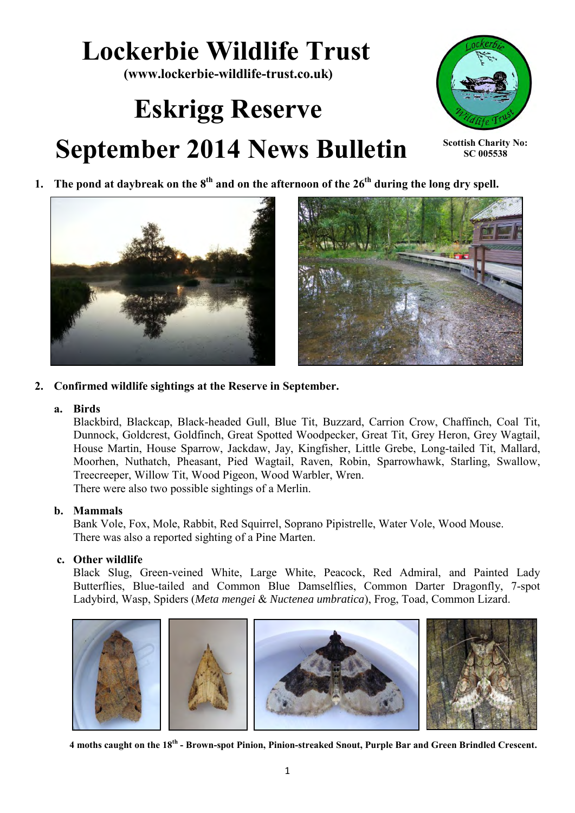# **Lockerbie Wildlife Trust**

**(www.lockerbie-wildlife-trust.co.uk)** 

# **Eskrigg Reserve September 2014 News Bulletin**



**Scottish Charity No: SC 005538**







**2. Confirmed wildlife sightings at the Reserve in September.**

# **a. Birds**

Blackbird, Blackcap, Black-headed Gull, Blue Tit, Buzzard, Carrion Crow, Chaffinch, Coal Tit, Dunnock, Goldcrest, Goldfinch, Great Spotted Woodpecker, Great Tit, Grey Heron, Grey Wagtail, House Martin, House Sparrow, Jackdaw, Jay, Kingfisher, Little Grebe, Long-tailed Tit, Mallard, Moorhen, Nuthatch, Pheasant, Pied Wagtail, Raven, Robin, Sparrowhawk, Starling, Swallow, Treecreeper, Willow Tit, Wood Pigeon, Wood Warbler, Wren. There were also two possible sightings of a Merlin.

# **b. Mammals**

Bank Vole, Fox, Mole, Rabbit, Red Squirrel, Soprano Pipistrelle, Water Vole, Wood Mouse. There was also a reported sighting of a Pine Marten.

# **c. Other wildlife**

Black Slug, Green-veined White, Large White, Peacock, Red Admiral, and Painted Lady Butterflies, Blue-tailed and Common Blue Damselflies, Common Darter Dragonfly, 7-spot Ladybird, Wasp, Spiders (*Meta mengei* & *Nuctenea umbratica*), Frog, Toad, Common Lizard.



**4 moths caught on the 18th - Brown-spot Pinion, Pinion-streaked Snout, Purple Bar and Green Brindled Crescent.**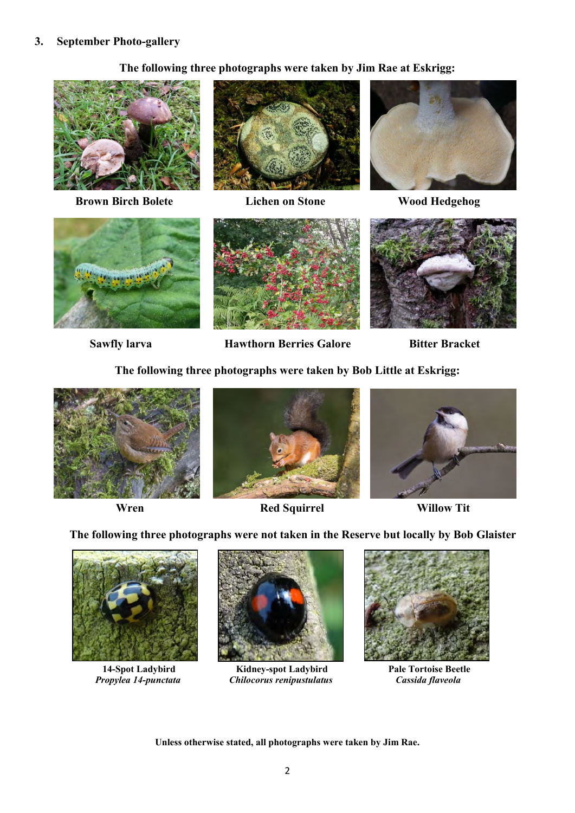## **3. September Photo-gallery**

# **The following three photographs were taken by Jim Rae at Eskrigg:**



**Brown Birch Bolete Lichen on Stone Wood Hedgehog** 







**Sawfly larva Hawthorn Berries Galore Bitter Bracket** 

**The following three photographs were taken by Bob Little at Eskrigg:**





*Red Squirrel* **Willow Tit** 



**The following three photographs were not taken in the Reserve but locally by Bob Glaister** 





 **14-Spot Ladybird Kidney-spot Ladybird Pale Tortoise Beetle**  *Propylea 14-punctata Chilocorus renipustulatus* 



**Unless otherwise stated, all photographs were taken by Jim Rae.**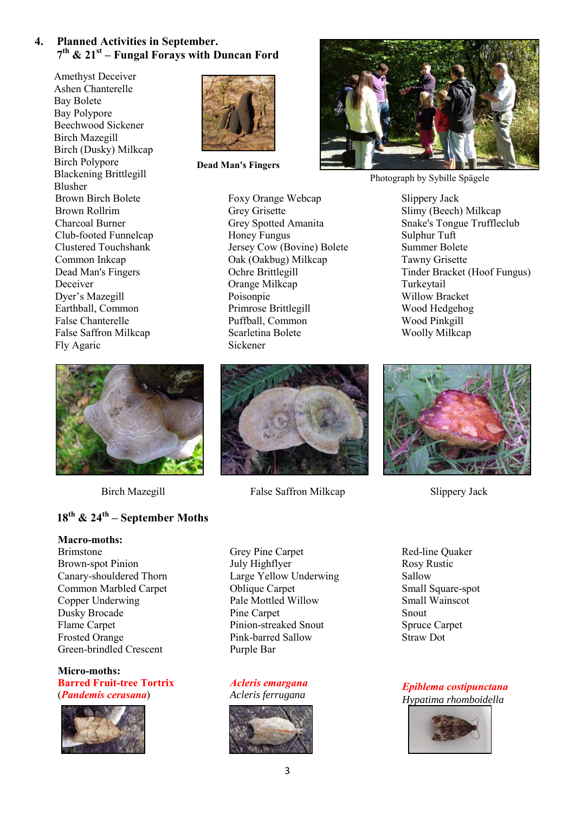# **4. Planned Activities in September. 7 th & 21st – Fungal Forays with Duncan Ford**

 Amethyst Deceiver Ashen Chanterelle Bay Bolete Bay Polypore Beechwood Sickener Birch Mazegill Birch (Dusky) Milkcap Birch Polypore Blackening Brittlegill Blusher Brown Birch Bolete Brown Rollrim Charcoal Burner Club-footed Funnelcap Clustered Touchshank Common Inkcap Dead Man's Fingers Deceiver Dyer's Mazegill Earthball, Common False Chanterelle False Saffron Milkcap Fly Agaric



# **18th & 24th – September Moths**

### **Macro-moths:**

Brimstone Brown-spot Pinion Canary-shouldered Thorn Common Marbled Carpet Copper Underwing Dusky Brocade Flame Carpet Frosted Orange Green-brindled Crescent

**Micro-moths: Barred Fruit-tree Tortrix** (*Pandemis cerasana*)





**Dead Man's Fingers**

Foxy Orange Webcap

Grey Spotted Amanita

Jersey Cow (Bovine) Bolete Oak (Oakbug) Milkcap

Grey Grisette

Honey Fungus

Ochre Brittlegill Orange Milkcap Poisonpie

Primrose Brittlegill Puffball, Common Scarletina Bolete

Sickener

Photograph by Sybille Spägele

Slippery Jack Slimy (Beech) Milkcap Snake's Tongue Truffleclub Sulphur Tuft Summer Bolete Tawny Grisette Tinder Bracket (Hoof Fungus) Turkeytail Willow Bracket Wood Hedgehog Wood Pinkgill Woolly Milkcap



Birch Mazegill False Saffron Milkcap Slippery Jack

Grey Pine Carpet July Highflyer Large Yellow Underwing Oblique Carpet Pale Mottled Willow Pine Carpet Pinion-streaked Snout Pink-barred Sallow Purple Bar

### *Acleris emargana* *Acleris ferrugana*



Red-line Quaker Rosy Rustic Sallow Small Square-spot Small Wainscot Snout Spruce Carpet Straw Dot

*Epiblema costipunctana Hypatima rhomboidella*